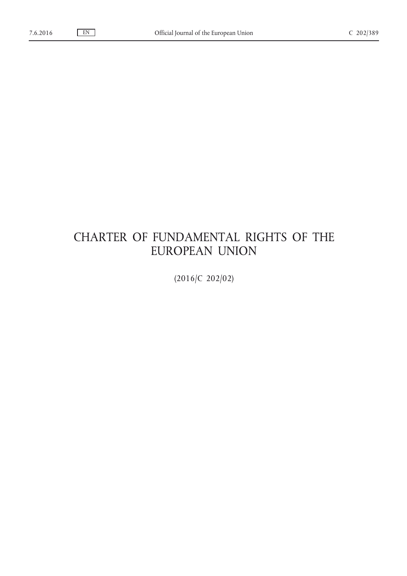# CHARTER OF FUNDAMENTAL RIGHTS OF THE EUROPEAN UNION

(2016/C 202/02)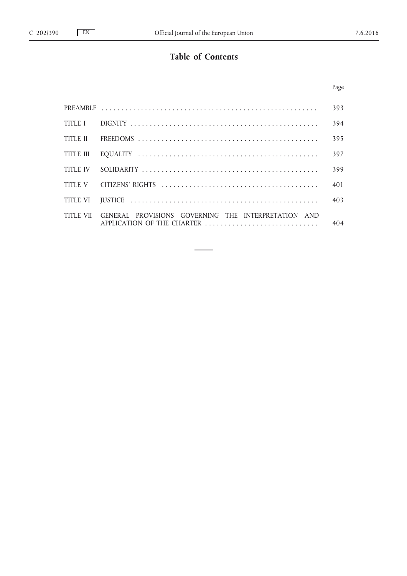# **Table of Contents**

|                 |                                                                                             | 393 |
|-----------------|---------------------------------------------------------------------------------------------|-----|
|                 |                                                                                             | 394 |
|                 |                                                                                             | 395 |
| TITLE III       |                                                                                             | 397 |
| <b>TITLE IV</b> |                                                                                             | 399 |
|                 |                                                                                             | 401 |
|                 |                                                                                             | 403 |
|                 | TITLE VII GENERAL PROVISIONS GOVERNING THE INTERPRETATION AND<br>APPLICATION OF THE CHARTER | 404 |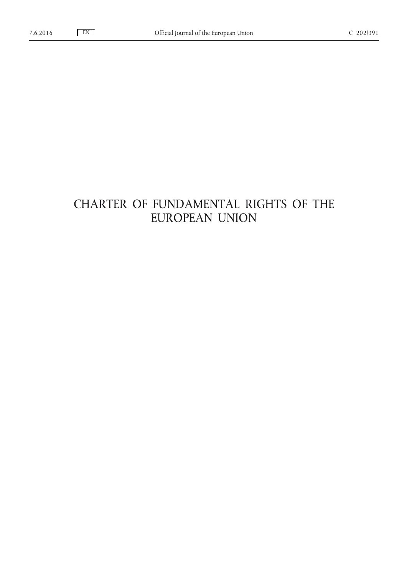# CHARTER OF FUNDAMENTAL RIGHTS OF THE EUROPEAN UNION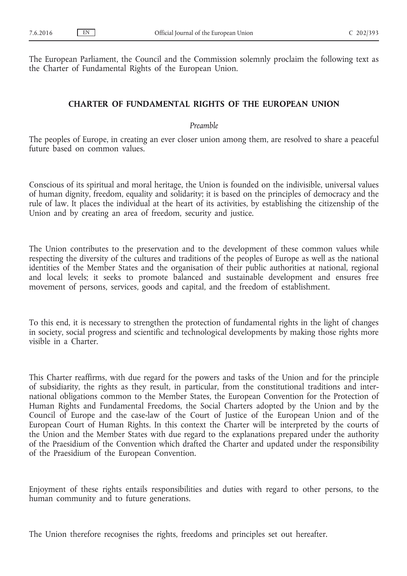The European Parliament, the Council and the Commission solemnly proclaim the following text as the Charter of Fundamental Rights of the European Union.

## **CHARTER OF FUNDAMENTAL RIGHTS OF THE EUROPEAN UNION**

## *Preamble*

The peoples of Europe, in creating an ever closer union among them, are resolved to share a peaceful future based on common values.

Conscious of its spiritual and moral heritage, the Union is founded on the indivisible, universal values of human dignity, freedom, equality and solidarity; it is based on the principles of democracy and the rule of law. It places the individual at the heart of its activities, by establishing the citizenship of the Union and by creating an area of freedom, security and justice.

The Union contributes to the preservation and to the development of these common values while respecting the diversity of the cultures and traditions of the peoples of Europe as well as the national identities of the Member States and the organisation of their public authorities at national, regional and local levels; it seeks to promote balanced and sustainable development and ensures free movement of persons, services, goods and capital, and the freedom of establishment.

To this end, it is necessary to strengthen the protection of fundamental rights in the light of changes in society, social progress and scientific and technological developments by making those rights more visible in a Charter.

This Charter reaffirms, with due regard for the powers and tasks of the Union and for the principle of subsidiarity, the rights as they result, in particular, from the constitutional traditions and international obligations common to the Member States, the European Convention for the Protection of Human Rights and Fundamental Freedoms, the Social Charters adopted by the Union and by the Council of Europe and the case-law of the Court of Justice of the European Union and of the European Court of Human Rights. In this context the Charter will be interpreted by the courts of the Union and the Member States with due regard to the explanations prepared under the authority of the Praesidium of the Convention which drafted the Charter and updated under the responsibility of the Praesidium of the European Convention.

Enjoyment of these rights entails responsibilities and duties with regard to other persons, to the human community and to future generations.

The Union therefore recognises the rights, freedoms and principles set out hereafter.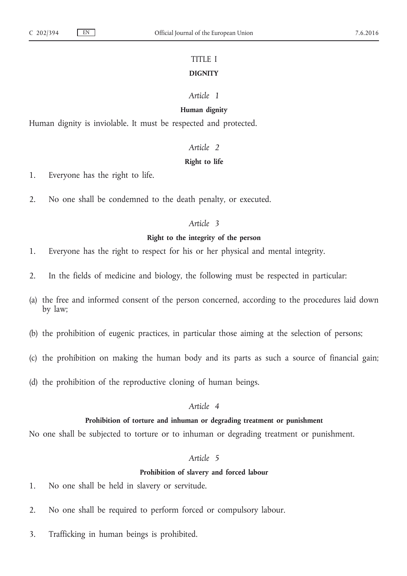## TITLE I **DIGNITY**

## *Article 1*

## **Human dignity**

Human dignity is inviolable. It must be respected and protected.

#### *Article 2*

## **Right to life**

1. Everyone has the right to life.

2. No one shall be condemned to the death penalty, or executed.

## *Article 3*

## **Right to the integrity of the person**

1. Everyone has the right to respect for his or her physical and mental integrity.

- 2. In the fields of medicine and biology, the following must be respected in particular:
- (a) the free and informed consent of the person concerned, according to the procedures laid down by law;
- (b) the prohibition of eugenic practices, in particular those aiming at the selection of persons;
- (c) the prohibition on making the human body and its parts as such a source of financial gain;
- (d) the prohibition of the reproductive cloning of human beings.

## *Article 4*

#### **Prohibition of torture and inhuman or degrading treatment or punishment**

No one shall be subjected to torture or to inhuman or degrading treatment or punishment.

## *Article 5*

#### **Prohibition of slavery and forced labour**

- 1. No one shall be held in slavery or servitude.
- 2. No one shall be required to perform forced or compulsory labour.
- 3. Trafficking in human beings is prohibited.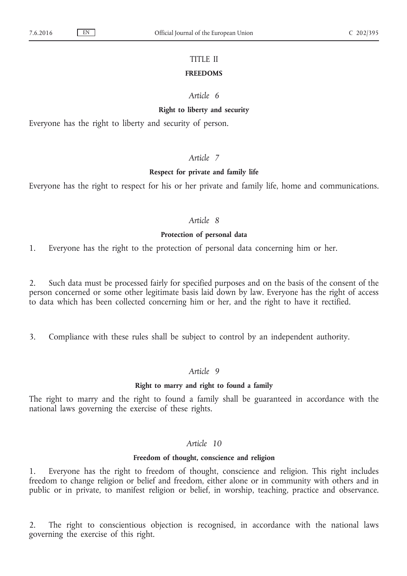## TITLE II

#### **FREEDOMS**

## *Article 6*

#### **Right to liberty and security**

Everyone has the right to liberty and security of person.

## *Article 7*

#### **Respect for private and family life**

Everyone has the right to respect for his or her private and family life, home and communications.

## *Article 8*

#### **Protection of personal data**

1. Everyone has the right to the protection of personal data concerning him or her.

2. Such data must be processed fairly for specified purposes and on the basis of the consent of the person concerned or some other legitimate basis laid down by law. Everyone has the right of access to data which has been collected concerning him or her, and the right to have it rectified.

3. Compliance with these rules shall be subject to control by an independent authority.

## *Article 9*

#### **Right to marry and right to found a family**

The right to marry and the right to found a family shall be guaranteed in accordance with the national laws governing the exercise of these rights.

## *Article 10*

#### **Freedom of thought, conscience and religion**

1. Everyone has the right to freedom of thought, conscience and religion. This right includes freedom to change religion or belief and freedom, either alone or in community with others and in public or in private, to manifest religion or belief, in worship, teaching, practice and observance.

2. The right to conscientious objection is recognised, in accordance with the national laws governing the exercise of this right.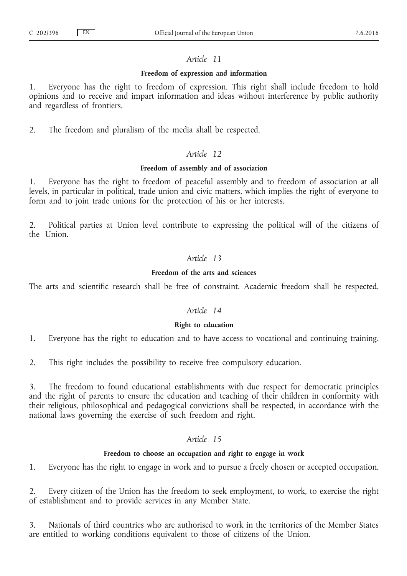#### **Freedom of expression and information**

1. Everyone has the right to freedom of expression. This right shall include freedom to hold opinions and to receive and impart information and ideas without interference by public authority and regardless of frontiers.

2. The freedom and pluralism of the media shall be respected.

## *Article 12*

## **Freedom of assembly and of association**

1. Everyone has the right to freedom of peaceful assembly and to freedom of association at all levels, in particular in political, trade union and civic matters, which implies the right of everyone to form and to join trade unions for the protection of his or her interests.

2. Political parties at Union level contribute to expressing the political will of the citizens of the Union.

## *Article 13*

## **Freedom of the arts and sciences**

The arts and scientific research shall be free of constraint. Academic freedom shall be respected.

## *Article 14*

## **Right to education**

1. Everyone has the right to education and to have access to vocational and continuing training.

2. This right includes the possibility to receive free compulsory education.

3. The freedom to found educational establishments with due respect for democratic principles and the right of parents to ensure the education and teaching of their children in conformity with their religious, philosophical and pedagogical convictions shall be respected, in accordance with the national laws governing the exercise of such freedom and right.

## *Article 15*

#### **Freedom to choose an occupation and right to engage in work**

1. Everyone has the right to engage in work and to pursue a freely chosen or accepted occupation.

2. Every citizen of the Union has the freedom to seek employment, to work, to exercise the right of establishment and to provide services in any Member State.

3. Nationals of third countries who are authorised to work in the territories of the Member States are entitled to working conditions equivalent to those of citizens of the Union.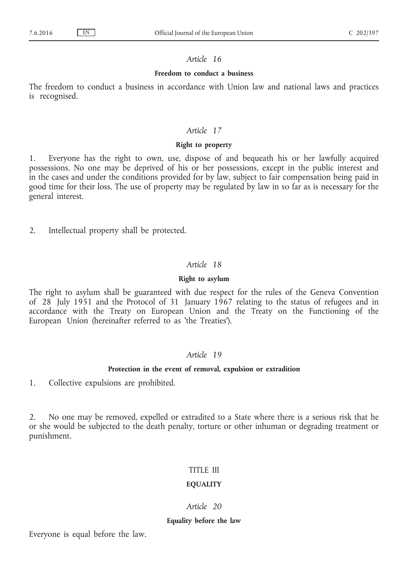### **Freedom to conduct a business**

The freedom to conduct a business in accordance with Union law and national laws and practices is recognised.

## *Article 17*

## **Right to property**

1. Everyone has the right to own, use, dispose of and bequeath his or her lawfully acquired possessions. No one may be deprived of his or her possessions, except in the public interest and in the cases and under the conditions provided for by law, subject to fair compensation being paid in good time for their loss. The use of property may be regulated by law in so far as is necessary for the general interest.

2. Intellectual property shall be protected.

## *Article 18*

#### **Right to asylum**

The right to asylum shall be guaranteed with due respect for the rules of the Geneva Convention of 28 July 1951 and the Protocol of 31 January 1967 relating to the status of refugees and in accordance with the Treaty on European Union and the Treaty on the Functioning of the European Union (hereinafter referred to as 'the Treaties').

## *Article 19*

#### **Protection in the event of removal, expulsion or extradition**

1. Collective expulsions are prohibited.

2. No one may be removed, expelled or extradited to a State where there is a serious risk that he or she would be subjected to the death penalty, torture or other inhuman or degrading treatment or punishment.

## TITLE III

#### **EQUALITY**

## *Article 20*

#### **Equality before the law**

Everyone is equal before the law.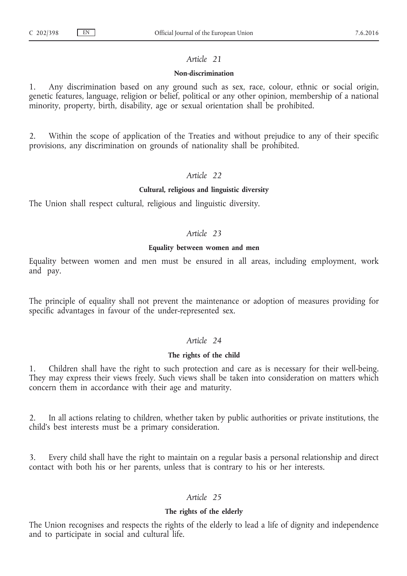#### **Non-discrimination**

1. Any discrimination based on any ground such as sex, race, colour, ethnic or social origin, genetic features, language, religion or belief, political or any other opinion, membership of a national minority, property, birth, disability, age or sexual orientation shall be prohibited.

2. Within the scope of application of the Treaties and without prejudice to any of their specific provisions, any discrimination on grounds of nationality shall be prohibited.

## *Article 22*

#### **Cultural, religious and linguistic diversity**

The Union shall respect cultural, religious and linguistic diversity.

## *Article 23*

#### **Equality between women and men**

Equality between women and men must be ensured in all areas, including employment, work and pay.

The principle of equality shall not prevent the maintenance or adoption of measures providing for specific advantages in favour of the under-represented sex.

## *Article 24*

## **The rights of the child**

1. Children shall have the right to such protection and care as is necessary for their well-being. They may express their views freely. Such views shall be taken into consideration on matters which concern them in accordance with their age and maturity.

2. In all actions relating to children, whether taken by public authorities or private institutions, the child's best interests must be a primary consideration.

3. Every child shall have the right to maintain on a regular basis a personal relationship and direct contact with both his or her parents, unless that is contrary to his or her interests.

## *Article 25*

#### **The rights of the elderly**

The Union recognises and respects the rights of the elderly to lead a life of dignity and independence and to participate in social and cultural life.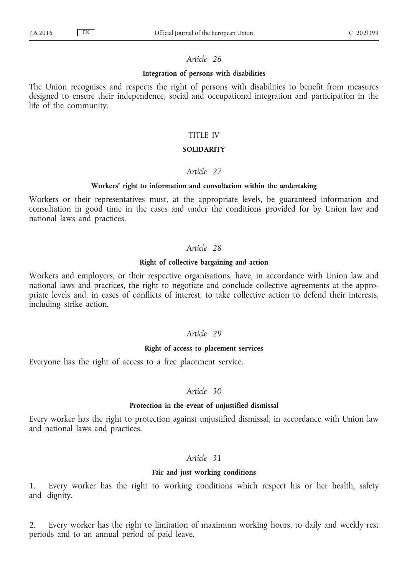#### **Integration of persons with disabilities**

The Union recognises and respects the right of persons with disabilities to benefit from measures designed to ensure their independence, social and occupational integration and participation in the life of the community.

#### TITLE IV

## **SOLIDARITY**

## *Article 27*

#### **Workers' right to information and consultation within the undertaking**

Workers or their representatives must, at the appropriate levels, be guaranteed information and consultation in good time in the cases and under the conditions provided for by Union law and national laws and practices.

## *Article 28*

#### **Right of collective bargaining and action**

Workers and employers, or their respective organisations, have, in accordance with Union law and national laws and practices, the right to negotiate and conclude collective agreements at the appropriate levels and, in cases of conflicts of interest, to take collective action to defend their interests, including strike action.

## *Article 29*

#### **Right of access to placement services**

Everyone has the right of access to a free placement service.

#### *Article 30*

#### **Protection in the event of unjustified dismissal**

Every worker has the right to protection against unjustified dismissal, in accordance with Union law and national laws and practices.

#### *Article 31*

#### **Fair and just working conditions**

1. Every worker has the right to working conditions which respect his or her health, safety and dignity.

2. Every worker has the right to limitation of maximum working hours, to daily and weekly rest periods and to an annual period of paid leave.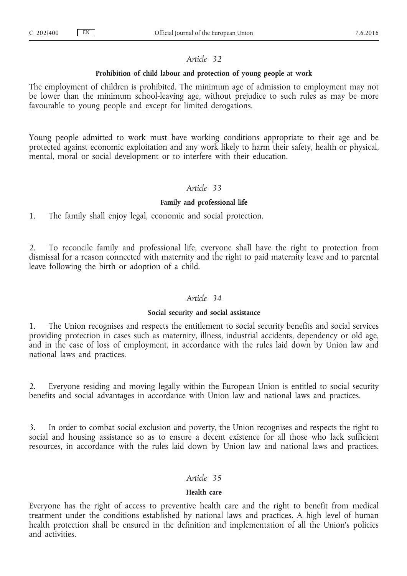#### **Prohibition of child labour and protection of young people at work**

The employment of children is prohibited. The minimum age of admission to employment may not be lower than the minimum school-leaving age, without prejudice to such rules as may be more favourable to young people and except for limited derogations.

Young people admitted to work must have working conditions appropriate to their age and be protected against economic exploitation and any work likely to harm their safety, health or physical, mental, moral or social development or to interfere with their education.

## *Article 33*

#### **Family and professional life**

1. The family shall enjoy legal, economic and social protection.

2. To reconcile family and professional life, everyone shall have the right to protection from dismissal for a reason connected with maternity and the right to paid maternity leave and to parental leave following the birth or adoption of a child.

## *Article 34*

#### **Social security and social assistance**

1. The Union recognises and respects the entitlement to social security benefits and social services providing protection in cases such as maternity, illness, industrial accidents, dependency or old age, and in the case of loss of employment, in accordance with the rules laid down by Union law and national laws and practices.

2. Everyone residing and moving legally within the European Union is entitled to social security benefits and social advantages in accordance with Union law and national laws and practices.

3. In order to combat social exclusion and poverty, the Union recognises and respects the right to social and housing assistance so as to ensure a decent existence for all those who lack sufficient resources, in accordance with the rules laid down by Union law and national laws and practices.

#### *Article 35*

## **Health care**

Everyone has the right of access to preventive health care and the right to benefit from medical treatment under the conditions established by national laws and practices. A high level of human health protection shall be ensured in the definition and implementation of all the Union's policies and activities.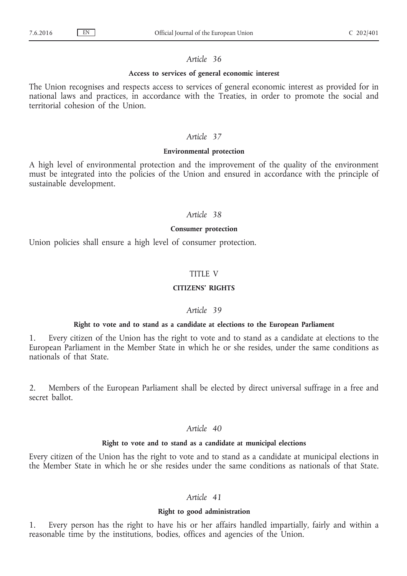#### **Access to services of general economic interest**

The Union recognises and respects access to services of general economic interest as provided for in national laws and practices, in accordance with the Treaties, in order to promote the social and territorial cohesion of the Union.

#### *Article 37*

#### **Environmental protection**

A high level of environmental protection and the improvement of the quality of the environment must be integrated into the policies of the Union and ensured in accordance with the principle of sustainable development.

## *Article 38*

#### **Consumer protection**

Union policies shall ensure a high level of consumer protection.

## TITLE V

## **CITIZENS' RIGHTS**

## *Article 39*

#### **Right to vote and to stand as a candidate at elections to the European Parliament**

1. Every citizen of the Union has the right to vote and to stand as a candidate at elections to the European Parliament in the Member State in which he or she resides, under the same conditions as nationals of that State.

2. Members of the European Parliament shall be elected by direct universal suffrage in a free and secret ballot.

## *Article 40*

#### **Right to vote and to stand as a candidate at municipal elections**

Every citizen of the Union has the right to vote and to stand as a candidate at municipal elections in the Member State in which he or she resides under the same conditions as nationals of that State.

## *Article 41*

#### **Right to good administration**

1. Every person has the right to have his or her affairs handled impartially, fairly and within a reasonable time by the institutions, bodies, offices and agencies of the Union.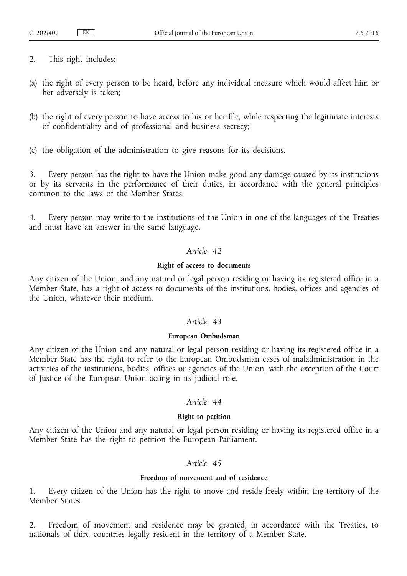- 2. This right includes:
- (a) the right of every person to be heard, before any individual measure which would affect him or her adversely is taken;
- (b) the right of every person to have access to his or her file, while respecting the legitimate interests of confidentiality and of professional and business secrecy;
- (c) the obligation of the administration to give reasons for its decisions.

3. Every person has the right to have the Union make good any damage caused by its institutions or by its servants in the performance of their duties, in accordance with the general principles common to the laws of the Member States.

4. Every person may write to the institutions of the Union in one of the languages of the Treaties and must have an answer in the same language.

## *Article 42*

## **Right of access to documents**

Any citizen of the Union, and any natural or legal person residing or having its registered office in a Member State, has a right of access to documents of the institutions, bodies, offices and agencies of the Union, whatever their medium.

## *Article 43*

#### **European Ombudsman**

Any citizen of the Union and any natural or legal person residing or having its registered office in a Member State has the right to refer to the European Ombudsman cases of maladministration in the activities of the institutions, bodies, offices or agencies of the Union, with the exception of the Court of Justice of the European Union acting in its judicial role.

## *Article 44*

## **Right to petition**

Any citizen of the Union and any natural or legal person residing or having its registered office in a Member State has the right to petition the European Parliament.

## *Article 45*

## **Freedom of movement and of residence**

1. Every citizen of the Union has the right to move and reside freely within the territory of the Member States.

2. Freedom of movement and residence may be granted, in accordance with the Treaties, to nationals of third countries legally resident in the territory of a Member State.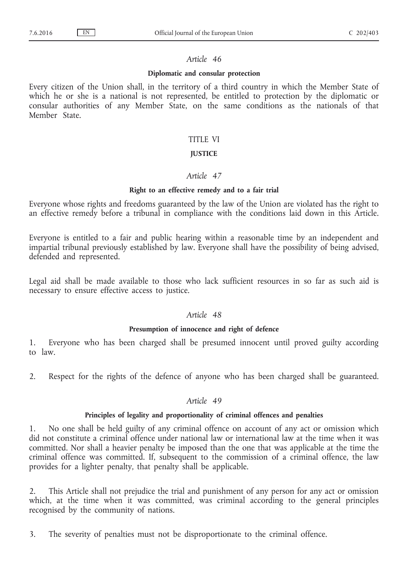#### **Diplomatic and consular protection**

Every citizen of the Union shall, in the territory of a third country in which the Member State of which he or she is a national is not represented, be entitled to protection by the diplomatic or consular authorities of any Member State, on the same conditions as the nationals of that Member State.

## TITLE VI

## **JUSTICE**

## *Article 47*

## **Right to an effective remedy and to a fair trial**

Everyone whose rights and freedoms guaranteed by the law of the Union are violated has the right to an effective remedy before a tribunal in compliance with the conditions laid down in this Article.

Everyone is entitled to a fair and public hearing within a reasonable time by an independent and impartial tribunal previously established by law. Everyone shall have the possibility of being advised, defended and represented.

Legal aid shall be made available to those who lack sufficient resources in so far as such aid is necessary to ensure effective access to justice.

## *Article 48*

#### **Presumption of innocence and right of defence**

1. Everyone who has been charged shall be presumed innocent until proved guilty according to law.

2. Respect for the rights of the defence of anyone who has been charged shall be guaranteed.

## *Article 49*

#### **Principles of legality and proportionality of criminal offences and penalties**

1. No one shall be held guilty of any criminal offence on account of any act or omission which did not constitute a criminal offence under national law or international law at the time when it was committed. Nor shall a heavier penalty be imposed than the one that was applicable at the time the criminal offence was committed. If, subsequent to the commission of a criminal offence, the law provides for a lighter penalty, that penalty shall be applicable.

2. This Article shall not prejudice the trial and punishment of any person for any act or omission which, at the time when it was committed, was criminal according to the general principles recognised by the community of nations.

3. The severity of penalties must not be disproportionate to the criminal offence.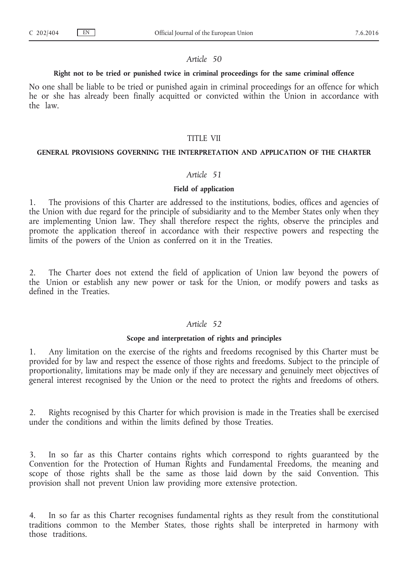#### **Right not to be tried or punished twice in criminal proceedings for the same criminal offence**

No one shall be liable to be tried or punished again in criminal proceedings for an offence for which he or she has already been finally acquitted or convicted within the Union in accordance with the law.

#### TITLE VII

#### **GENERAL PROVISIONS GOVERNING THE INTERPRETATION AND APPLICATION OF THE CHARTER**

## *Article 51*

#### **Field of application**

1. The provisions of this Charter are addressed to the institutions, bodies, offices and agencies of the Union with due regard for the principle of subsidiarity and to the Member States only when they are implementing Union law. They shall therefore respect the rights, observe the principles and promote the application thereof in accordance with their respective powers and respecting the limits of the powers of the Union as conferred on it in the Treaties.

2. The Charter does not extend the field of application of Union law beyond the powers of the Union or establish any new power or task for the Union, or modify powers and tasks as defined in the Treaties.

#### *Article 52*

#### **Scope and interpretation of rights and principles**

1. Any limitation on the exercise of the rights and freedoms recognised by this Charter must be provided for by law and respect the essence of those rights and freedoms. Subject to the principle of proportionality, limitations may be made only if they are necessary and genuinely meet objectives of general interest recognised by the Union or the need to protect the rights and freedoms of others.

2. Rights recognised by this Charter for which provision is made in the Treaties shall be exercised under the conditions and within the limits defined by those Treaties.

In so far as this Charter contains rights which correspond to rights guaranteed by the Convention for the Protection of Human Rights and Fundamental Freedoms, the meaning and scope of those rights shall be the same as those laid down by the said Convention. This provision shall not prevent Union law providing more extensive protection.

4. In so far as this Charter recognises fundamental rights as they result from the constitutional traditions common to the Member States, those rights shall be interpreted in harmony with those traditions.